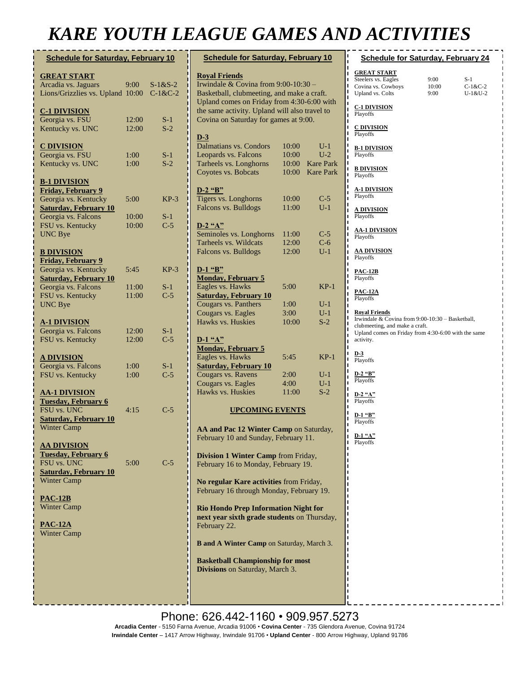# **KARE YOUTH LEAGUE GAMES AND**

| <b>Schedule for Saturday, February 10</b>                                                                                    |                |                        |  |  |
|------------------------------------------------------------------------------------------------------------------------------|----------------|------------------------|--|--|
| <b>GREAT START</b><br>Arcadia vs. Jaguars<br>Lions/Grizzlies vs. Upland                                                      | 9:00<br>10:00  | $S-1&S-2$<br>$C-1&C-2$ |  |  |
| <b>C-1 DIVISION</b><br>Georgia vs. FSU<br>Kentucky vs. UNC                                                                   | 12:00<br>12:00 | $S-1$<br>$S-2$         |  |  |
| <b>C DIVISION</b><br>Georgia vs. FSU<br>Kentucky vs. UNC                                                                     | 1:00<br>1:00   | $S-1$<br>$S-2$         |  |  |
| <b>B-1 DIVISION</b><br><b>Friday, February 9</b><br>Georgia vs. Kentucky<br><b>Saturday, February 10</b>                     | 5:00           | $KP-3$                 |  |  |
| Georgia vs. Falcons<br>FSU vs. Kentucky<br><b>UNC Bye</b>                                                                    | 10:00<br>10:00 | $S-1$<br>$C-5$         |  |  |
| <b>B DIVISION</b><br><b>Friday, February 9</b><br>Georgia vs. Kentucky                                                       | 5:45           | $KP-3$                 |  |  |
| <b>Saturday, February 10</b><br>Georgia vs. Falcons<br>FSU vs. Kentucky<br><b>UNC Bye</b>                                    | 11:00<br>11:00 | $S-1$<br>$C-5$         |  |  |
| <b>A-1 DIVISION</b><br>Georgia vs. Falcons<br>FSU vs. Kentucky                                                               | 12:00<br>12:00 | $S-1$<br>$C-5$         |  |  |
| <b>A DIVISION</b><br>Georgia vs. Falcons<br>FSU vs. Kentucky                                                                 | 1:00<br>1:00   | $S-1$<br>$C-5$         |  |  |
| <b>AA-1 DIVISION</b><br><b>Tuesday, February 6</b><br>FSU vs. UNC<br><b>Saturday, February 10</b><br><b>Winter Camp</b>      | 4:15           | $C-5$                  |  |  |
| <u>AA DIVISION</u><br><b>Tuesday, February 6</b><br><b>FSU vs. UNC</b><br><b>Saturday, February 10</b><br><b>Winter Camp</b> | 5:00           | C-5                    |  |  |
| $PAC-12B$<br><b>Winter Camp</b>                                                                                              |                |                        |  |  |
| <b>PAC-12A</b><br>Winter Camp                                                                                                |                |                        |  |  |
|                                                                                                                              |                |                        |  |  |
|                                                                                                                              |                |                        |  |  |
|                                                                                                                              |                |                        |  |  |

| <b>Schedule for Saturday, February 10</b>                                                                  |       |                  |  |  |
|------------------------------------------------------------------------------------------------------------|-------|------------------|--|--|
| <b>Royal Friends</b>                                                                                       |       |                  |  |  |
| Irwindale & Covina from 9:00-10:30 -                                                                       |       |                  |  |  |
| Basketball, clubmeeting, and make a craft.                                                                 |       |                  |  |  |
| Upland comes on Friday from 4:30-6:00 with                                                                 |       |                  |  |  |
| the same activity. Upland will also travel to                                                              |       |                  |  |  |
| Covina on Saturday for games at 9:00.                                                                      |       |                  |  |  |
| $D-3$                                                                                                      |       |                  |  |  |
| Dalmatians vs. Condors                                                                                     | 10:00 | $U-1$            |  |  |
| Leopards vs. Falcons                                                                                       | 10:00 | $U-2$            |  |  |
| Tarheels vs. Longhorns                                                                                     | 10:00 | <b>Kare Park</b> |  |  |
| Coyotes vs. Bobcats                                                                                        | 10:00 | <b>Kare Park</b> |  |  |
|                                                                                                            |       |                  |  |  |
| $D-2$ "B"<br>Tigers vs. Longhorns                                                                          | 10:00 |                  |  |  |
| Falcons vs. Bulldogs                                                                                       | 11:00 | $C-5$<br>$U-1$   |  |  |
|                                                                                                            |       |                  |  |  |
| $D-2$ "A"                                                                                                  |       |                  |  |  |
| Seminoles vs. Longhorns                                                                                    | 11:00 | $C-5$            |  |  |
| Tarheels vs. Wildcats                                                                                      | 12:00 | $C-6$            |  |  |
| Falcons vs. Bulldogs                                                                                       | 12:00 | $U-1$            |  |  |
|                                                                                                            |       |                  |  |  |
| $D-1$ "B"                                                                                                  |       |                  |  |  |
| <b>Monday, February 5</b>                                                                                  |       |                  |  |  |
| Eagles vs. Hawks                                                                                           | 5:00  | KP-1             |  |  |
| <b>Saturday, February 10</b><br>Cougars vs. Panthers                                                       | 1:00  | U-1              |  |  |
| Cougars vs. Eagles                                                                                         | 3:00  | $U-1$            |  |  |
| Hawks vs. Huskies                                                                                          | 10:00 | $S-2$            |  |  |
|                                                                                                            |       |                  |  |  |
| $D-1$ "A"                                                                                                  |       |                  |  |  |
| <b>Monday, February 5</b>                                                                                  |       |                  |  |  |
| Eagles vs. Hawks                                                                                           | 5:45  | $KP-1$           |  |  |
| <b>Saturday, February 10</b>                                                                               |       |                  |  |  |
| Cougars vs. Ravens                                                                                         | 2:00  | $U-1$            |  |  |
| Cougars vs. Eagles                                                                                         | 4:00  | $U-1$            |  |  |
| Hawks vs. Huskies                                                                                          | 11:00 | $S-2$            |  |  |
| <b>UPCOMING EVENTS</b>                                                                                     |       |                  |  |  |
|                                                                                                            |       |                  |  |  |
| AA and Pac 12 Winter Camp on Saturday,<br>February 10 and Sunday, February 11.                             |       |                  |  |  |
| <b>Division 1 Winter Camp from Friday,</b>                                                                 |       |                  |  |  |
| February 16 to Monday, February 19.                                                                        |       |                  |  |  |
| No regular Kare activities from Friday,                                                                    |       |                  |  |  |
| February 16 through Monday, February 19.                                                                   |       |                  |  |  |
| <b>Rio Hondo Prep Information Night for</b><br>next year sixth grade students on Thursday,<br>February 22. |       |                  |  |  |
| <b>B</b> and A Winter Camp on Saturday, March 3.                                                           |       |                  |  |  |
| <b>Basketball Championship for most</b>                                                                    |       |                  |  |  |
| Divisions on Saturday, March 3.                                                                            |       |                  |  |  |

| D ACTIVITIES                                                                                                                                                                   |                       |                             |  |  |
|--------------------------------------------------------------------------------------------------------------------------------------------------------------------------------|-----------------------|-----------------------------|--|--|
| <b>Schedule for Saturday, February 24</b>                                                                                                                                      |                       |                             |  |  |
| <b>GREAT START</b><br>Steelers vs. Eagles<br>Covina vs. Cowboys<br><b>Upland vs. Colts</b>                                                                                     | 9:00<br>10:00<br>9:00 | S-1<br>$C-1&C-2$<br>U-1&U-2 |  |  |
| <u>C-1 DIVISION</u><br>Playoffs                                                                                                                                                |                       |                             |  |  |
| <b>C DIVISION</b><br>Playoffs                                                                                                                                                  |                       |                             |  |  |
| <b>B-1 DIVISION</b><br>Playoffs                                                                                                                                                |                       |                             |  |  |
| <b>B DIVISION</b><br>Playoffs                                                                                                                                                  |                       |                             |  |  |
| <u>A-1 DIVISION</u><br>Playoffs                                                                                                                                                |                       |                             |  |  |
| <u>A DIVISION</u><br>Playoffs                                                                                                                                                  |                       |                             |  |  |
| <u>AA-1 DIVISION</u><br>Playoffs                                                                                                                                               |                       |                             |  |  |
| <u>AA DIVISION</u><br>Playoffs                                                                                                                                                 |                       |                             |  |  |
| <b>PAC-12B</b><br>Playoffs                                                                                                                                                     |                       |                             |  |  |
| <b>PAC-12A</b><br>Playoffs                                                                                                                                                     |                       |                             |  |  |
| <b>Royal Friends</b><br>Irwindale & Covina from 9:00-10:30 - Basketball,<br>clubmeeting, and make a craft.<br>Upland comes on Friday from 4:30-6:00 with the same<br>activity. |                       |                             |  |  |
| D-3<br>Playoffs                                                                                                                                                                |                       |                             |  |  |
| D-2 "B"<br>Playoffs                                                                                                                                                            |                       |                             |  |  |
| D-2 "A"<br>Playoffs                                                                                                                                                            |                       |                             |  |  |
| $D-1$ "B"<br>ı<br>Playoffs                                                                                                                                                     |                       |                             |  |  |
| $D-1$ "A"<br>Playoffs                                                                                                                                                          |                       |                             |  |  |
| ı                                                                                                                                                                              |                       |                             |  |  |
| I<br>I                                                                                                                                                                         |                       |                             |  |  |
| I<br>I<br>I                                                                                                                                                                    |                       |                             |  |  |
| I<br>I                                                                                                                                                                         |                       |                             |  |  |
|                                                                                                                                                                                |                       |                             |  |  |

Phone: 626.442-1160 · 909.957.5273 Arcadia Center - 5150 Farna Avenue, Arcadia 91006 • Covina Center - 735 Glendora Avenue, Covina 91724<br>Arcadia Center - 5150 Farna Avenue, Arcadia 91006 • Covina Center - 735 Glendora Avenue, Covina 91724 **Irwindale Center** – 1417 Arrow Highway, Irwindale 91706 • **Upland Center** - 800 Arrow Highway, Upland 91786<br>

**Rio Hondo Prep Drama Presentation of**